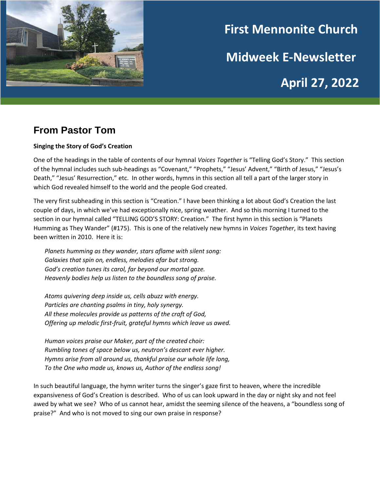

# **First Mennonite Church Midweek E-Newsletter April 27, 2022**

# **From Pastor Tom**

### **Singing the Story of God's Creation**

One of the headings in the table of contents of our hymnal *Voices Together* is "Telling God's Story." This section of the hymnal includes such sub-headings as "Covenant," "Prophets," "Jesus' Advent," "Birth of Jesus," "Jesus's Death," "Jesus' Resurrection," etc. In other words, hymns in this section all tell a part of the larger story in which God revealed himself to the world and the people God created.

The very first subheading in this section is "Creation." I have been thinking a lot about God's Creation the last couple of days, in which we've had exceptionally nice, spring weather. And so this morning I turned to the section in our hymnal called "TELLING GOD'S STORY: Creation." The first hymn in this section is "Planets Humming as They Wander" (#175). This is one of the relatively new hymns in *Voices Together*, its text having been written in 2010. Here it is:

*Planets humming as they wander, stars aflame with silent song: Galaxies that spin on, endless, melodies afar but strong. God's creation tunes its carol, far beyond our mortal gaze. Heavenly bodies help us listen to the boundless song of praise.*

*Atoms quivering deep inside us, cells abuzz with energy. Particles are chanting psalms in tiny, holy synergy. All these molecules provide us patterns of the craft of God, Offering up melodic first-fruit, grateful hymns which leave us awed.*

*Human voices praise our Maker, part of the created choir: Rumbling tones of space below us, neutron's descant ever higher. Hymns arise from all around us, thankful praise our whole life long, To the One who made us, knows us, Author of the endless song!*

In such beautiful language, the hymn writer turns the singer's gaze first to heaven, where the incredible expansiveness of God's Creation is described. Who of us can look upward in the day or night sky and not feel awed by what we see? Who of us cannot hear, amidst the seeming silence of the heavens, a "boundless song of praise?" And who is not moved to sing our own praise in response?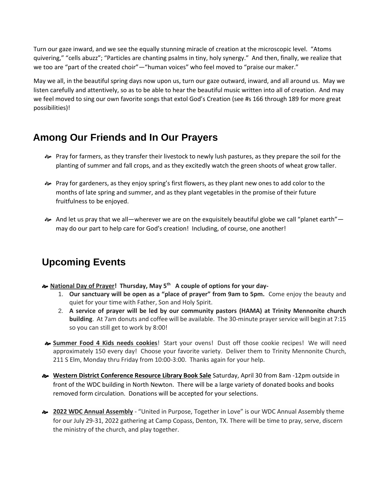Turn our gaze inward, and we see the equally stunning miracle of creation at the microscopic level. "Atoms quivering," "cells abuzz"; "Particles are chanting psalms in tiny, holy synergy." And then, finally, we realize that we too are "part of the created choir"—"human voices" who feel moved to "praise our maker."

May we all, in the beautiful spring days now upon us, turn our gaze outward, inward, and all around us. May we listen carefully and attentively, so as to be able to hear the beautiful music written into all of creation. And may we feel moved to sing our own favorite songs that extol God's Creation (see #s 166 through 189 for more great possibilities)!

## **Among Our Friends and In Our Prayers**

- Pray for farmers, as they transfer their livestock to newly lush pastures, as they prepare the soil for the planting of summer and fall crops, and as they excitedly watch the green shoots of wheat grow taller.
- Pray for gardeners, as they enjoy spring's first flowers, as they plant new ones to add color to the months of late spring and summer, and as they plant vegetables in the promise of their future fruitfulness to be enjoyed.
- $\approx$  And let us pray that we all—wherever we are on the exquisitely beautiful globe we call "planet earth" may do our part to help care for God's creation! Including, of course, one another!

# **Upcoming Events**

- **National Day of Prayer! Thursday, May 5th A couple of options for your day-**
	- 1. **Our sanctuary will be open as a "place of prayer" from 9am to 5pm.** Come enjoy the beauty and quiet for your time with Father, Son and Holy Spirit.
	- 2. **A service of prayer will be led by our community pastors (HAMA) at Trinity Mennonite church building**. At 7am donuts and coffee will be available. The 30-minute prayer service will begin at 7:15 so you can still get to work by 8:00!
- **Summer Food 4 Kids needs cookies**! Start your ovens! Dust off those cookie recipes! We will need approximately 150 every day! Choose your favorite variety. Deliver them to Trinity Mennonite Church, 211 S Elm, Monday thru Friday from 10:00-3:00. Thanks again for your help.
- **Western District Conference Resource Library Book Sale** Saturday, April 30 from 8am -12pm outside in front of the WDC building in North Newton. There will be a large variety of donated books and books removed form circulation. Donations will be accepted for your selections.
- **2022 WDC Annual Assembly** "United in Purpose, Together in Love" is our WDC Annual Assembly theme for our July 29-31, 2022 gathering at Camp Copass, Denton, TX. There will be time to pray, serve, discern the ministry of the church, and play together.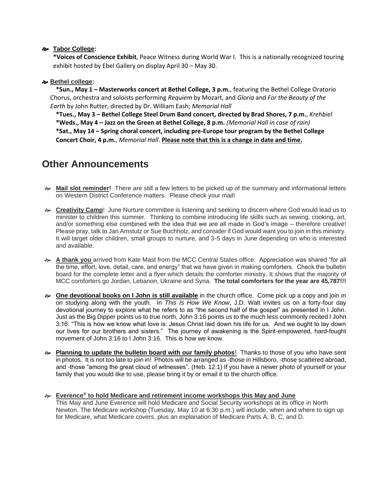#### **Tabor College:**

**\*Voices of Conscience Exhibit**, Peace Witness during World War I. This is a nationally recognized touring exhibit hosted by Ebel Gallery on display April 30 – May 30.

#### **Bethel college:**

**\*Sun., May 1 – Masterworks concert at Bethel College, 3 p.m.**, featuring the Bethel College Oratorio Chorus, orchestra and soloists performing *Requiem* by Mozart, and *Gloria* and *For the Beauty of the Earth* by John Rutter, directed by Dr. William Eash; *Memorial Hall*

 **\*Tues., May 3 – Bethel College Steel Drum Band concert, directed by Brad Shores, 7 p.m.**, *Krehbiel*

**\*Weds., May 4 – Jazz on the Green at Bethel College, 8 p.m.** *(Memorial Hall in case of rain)*

**\*Sat., May 14 – Spring choral concert, including pre-Europe tour program by the Bethel College Concert Choir, 4 p.m.**, *Memorial Hall*. **Please note that this is a change in date and time.**

## **Other Announcements**

- **Mail slot reminder!** There are still a few letters to be picked up of the summary and informational letters on Western District Conference matters. Please check your mail!
- **Creativity Camp**! June Nurture committee is listening and seeking to discern where God would lead us to minister to children this summer. Thinking to combine introducing life skills such as sewing, cooking, art, and/or something else combined with the idea that we are all made in God's image – therefore creative! Please pray, talk to Jan Amstutz or Sue Buchholz, and consider if God would want you to join in this ministry. It will target older children, small groups to nurture, and 3-5 days in June depending on who is interested and available.
- **A thank you** arrived from Kate Mast from the MCC Central States office. Appreciation was shared "for all the time, effort, love, detail, care, and energy" that we have given in making comforters. Check the bulletin board for the complete letter and a flyer which details the comforter ministry. It shows that the majority of MCC comforters go Jordan, Lebanon, Ukraine and Syria. **The total comforters for the year are 45,787!!!**
- **One devotional books on I John is still available** in the church office. Come pick up a copy and join in on studying along with the youth. In *This Is How We Know*, J.D. Walt invites us on a forty-four day devotional journey to explore what he refers to as "the second half of the gospel" as presented in I John. Just as the Big Dipper points us to true north, John 3:16 points us to the much less commonly recited I John 3:16: "This is how we know what love is: Jesus Christ laid down his life for us. And we ought to lay down our lives for our brothers and sisters." The journey of awakening is the Spirit-empowered, hard-fought movement of John 3:16 to I John 3:16. This is how we know.
- **Planning to update the bulletin board with our family photos**! Thanks to those of you who have sent in photos. It is not too late to join in! Photos will be arranged as -those in Hillsboro, -those scattered abroad, and -those "among the great cloud of witnesses". (Heb. 12:1) If you have a newer photo of yourself or your family that you would like to use, please bring it by or email it to the church office.
- **Everence® to hold Medicare and retirement income workshops this May and June** This May and June Everence will hold Medicare and Social Security workshops at its office in North Newton. The Medicare workshop (Tuesday, May 10 at 6:30 p.m.) will include, when and where to sign up for Medicare, what Medicare covers, plus an explanation of Medicare Parts A, B, C, and D.